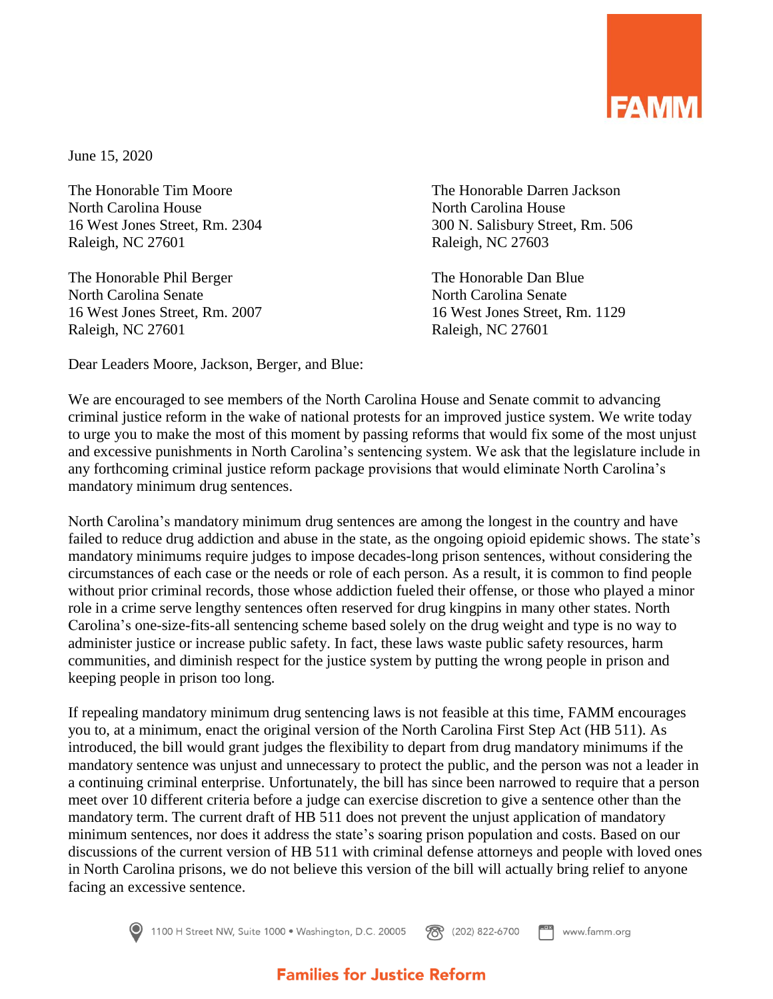

June 15, 2020

The Honorable Tim Moore The Honorable Darren Jackson North Carolina House North Carolina House Raleigh, NC 27601 Raleigh, NC 27603

The Honorable Phil Berger The Honorable Dan Blue North Carolina Senate North Carolina Senate Raleigh, NC 27601 Raleigh, NC 27601

16 West Jones Street, Rm. 2304 300 N. Salisbury Street, Rm. 506

16 West Jones Street, Rm. 2007 16 West Jones Street, Rm. 1129

Dear Leaders Moore, Jackson, Berger, and Blue:

We are encouraged to see members of the North Carolina House and Senate commit to advancing criminal justice reform in the wake of national protests for an improved justice system. We write today to urge you to make the most of this moment by passing reforms that would fix some of the most unjust and excessive punishments in North Carolina's sentencing system. We ask that the legislature include in any forthcoming criminal justice reform package provisions that would eliminate North Carolina's mandatory minimum drug sentences.

North Carolina's mandatory minimum drug sentences are among the longest in the country and have failed to reduce drug addiction and abuse in the state, as the ongoing opioid epidemic shows. The state's mandatory minimums require judges to impose decades-long prison sentences, without considering the circumstances of each case or the needs or role of each person. As a result, it is common to find people without prior criminal records, those whose addiction fueled their offense, or those who played a minor role in a crime serve lengthy sentences often reserved for drug kingpins in many other states. North Carolina's one-size-fits-all sentencing scheme based solely on the drug weight and type is no way to administer justice or increase public safety. In fact, these laws waste public safety resources, harm communities, and diminish respect for the justice system by putting the wrong people in prison and keeping people in prison too long.

If repealing mandatory minimum drug sentencing laws is not feasible at this time, FAMM encourages you to, at a minimum, enact the original version of the North Carolina First Step Act (HB 511). As introduced, the bill would grant judges the flexibility to depart from drug mandatory minimums if the mandatory sentence was unjust and unnecessary to protect the public, and the person was not a leader in a continuing criminal enterprise. Unfortunately, the bill has since been narrowed to require that a person meet over 10 different criteria before a judge can exercise discretion to give a sentence other than the mandatory term. The current draft of HB 511 does not prevent the unjust application of mandatory minimum sentences, nor does it address the state's soaring prison population and costs. Based on our discussions of the current version of HB 511 with criminal defense attorneys and people with loved ones in North Carolina prisons, we do not believe this version of the bill will actually bring relief to anyone facing an excessive sentence.



1100 H Street NW, Suite 1000 · Washington, D.C. 20005 图 (202) 822-6700 www.famm.org

## **Families for Justice Reform**